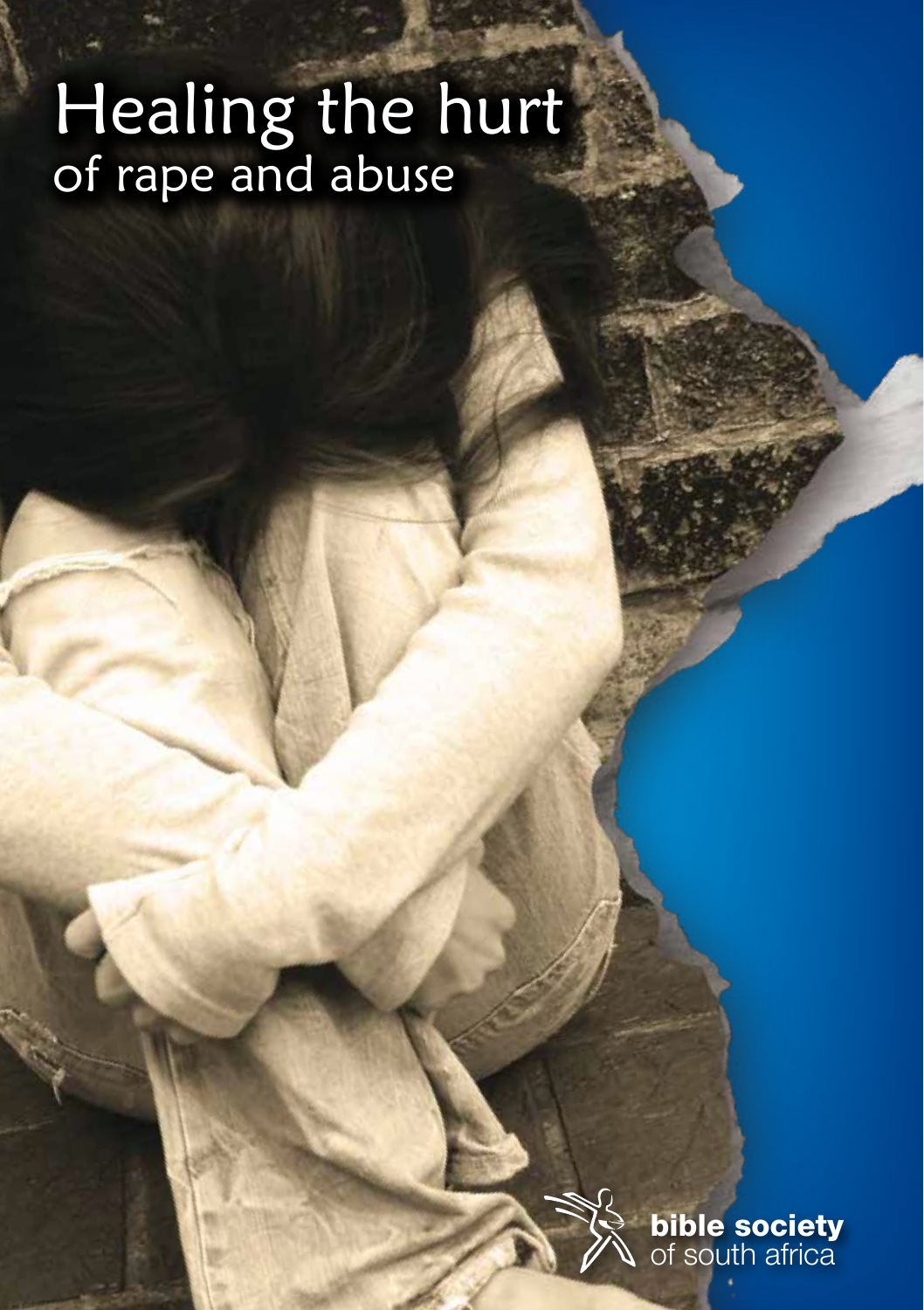# Healing the hurt of rape and abuse

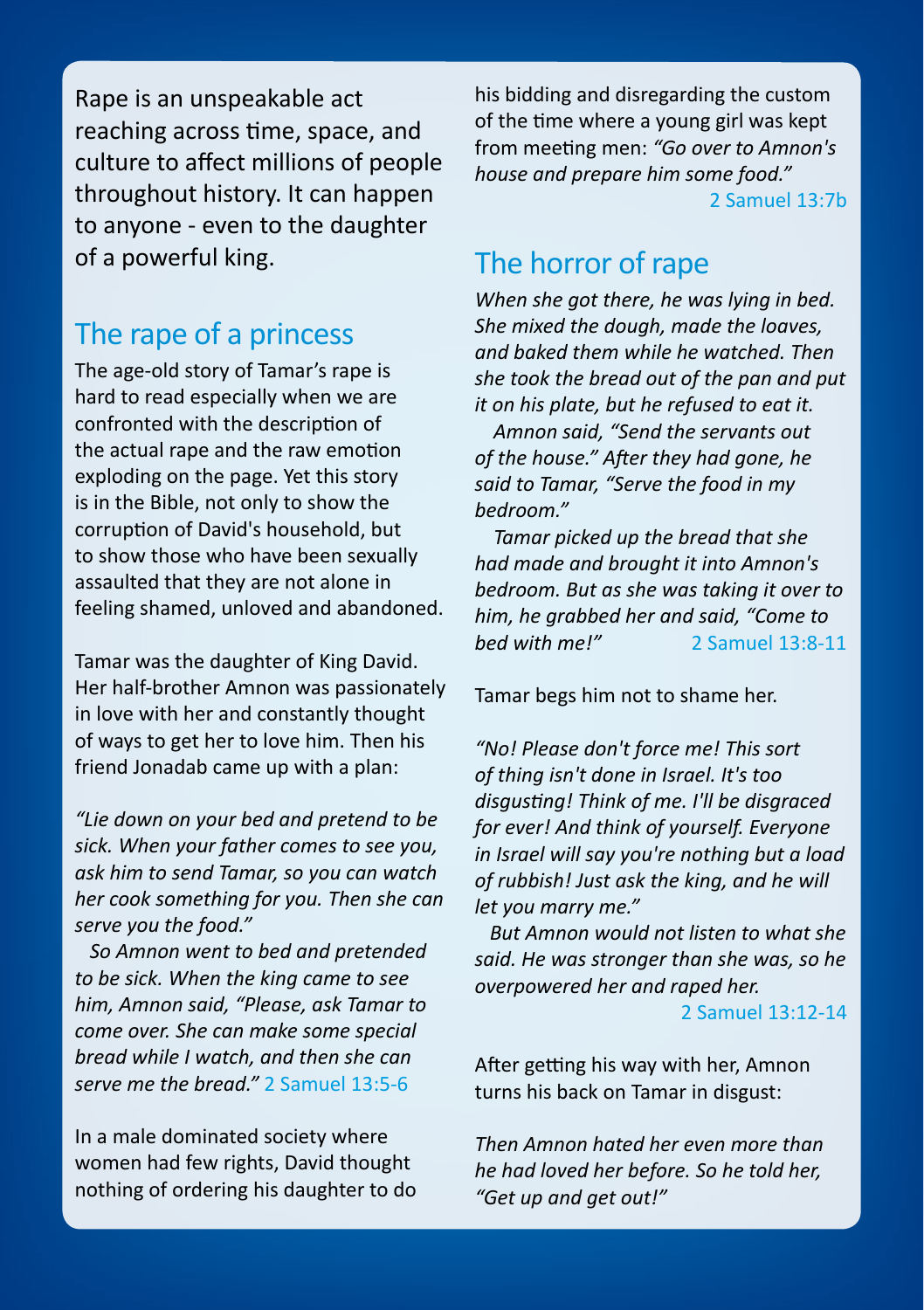Rape is an unspeakable act reaching across time, space, and culture to affect millions of people throughout history. It can happen to anyone - even to the daughter of a powerful king.

## The rape of a princess

The age-old story of Tamar's rape is hard to read especially when we are confronted with the description of the actual rape and the raw emotion exploding on the page. Yet this story is in the Bible, not only to show the corruption of David's household, but to show those who have been sexually assaulted that they are not alone in feeling shamed, unloved and abandoned.

Tamar was the daughter of King David. Her half-brother Amnon was passionately in love with her and constantly thought of ways to get her to love him. Then his friend Jonadab came up with a plan:

*"Lie down on your bed and pretend to be sick. When your father comes to see you, ask him to send Tamar, so you can watch her cook something for you. Then she can serve you the food."* 

 *So Amnon went to bed and pretended to be sick. When the king came to see him, Amnon said, "Please, ask Tamar to come over. She can make some special bread while I watch, and then she can serve me the bread."* 2 Samuel 13:5-6

In a male dominated society where women had few rights, David thought nothing of ordering his daughter to do

his bidding and disregarding the custom of the time where a young girl was kept from meeting men: *"Go over to Amnon's house and prepare him some food."*

2 Samuel 13:7b

## The horror of rape

*When she got there, he was lying in bed. She mixed the dough, made the loaves, and baked them while he watched. Then she took the bread out of the pan and put it on his plate, but he refused to eat it.* 

*Amnon said, "Send the servants out of the house." After they had gone, he said to Tamar, "Serve the food in my bedroom."* 

*Tamar picked up the bread that she had made and brought it into Amnon's bedroom. But as she was taking it over to him, he grabbed her and said, "Come to bed with me!"* 2 Samuel 13:8-11

Tamar begs him not to shame her.

*"No! Please don't force me! This sort of thing isn't done in Israel. It's too disgusting! Think of me. I'll be disgraced for ever! And think of yourself. Everyone in Israel will say you're nothing but a load of rubbish! Just ask the king, and he will let you marry me."* 

 *But Amnon would not listen to what she said. He was stronger than she was, so he overpowered her and raped her.* 

2 Samuel 13:12-14

After getting his way with her, Amnon turns his back on Tamar in disgust:

*Then Amnon hated her even more than he had loved her before. So he told her, "Get up and get out!"*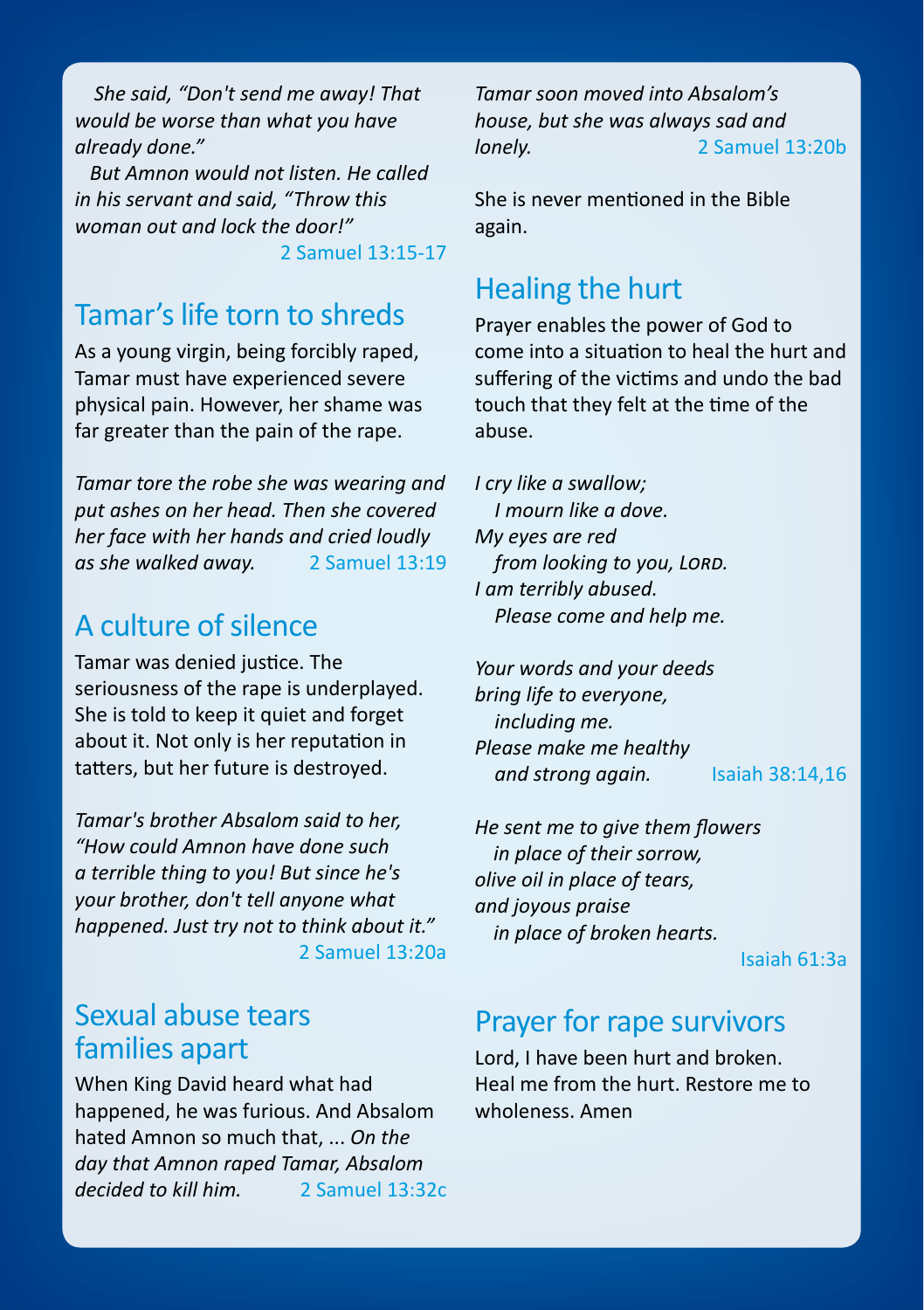*She said, "Don't send me away! That would be worse than what you have already done."* 

 *But Amnon would not listen. He called in his servant and said, "Throw this woman out and lock the door!"*

2 Samuel 13:15-17

## Tamar's life torn to shreds

As a young virgin, being forcibly raped, Tamar must have experienced severe physical pain. However, her shame was far greater than the pain of the rape.

*Tamar tore the robe she was wearing and put ashes on her head. Then she covered her face with her hands and cried loudly as she walked away.* 2 Samuel 13:19

# A culture of silence

Tamar was denied justice. The seriousness of the rape is underplayed. She is told to keep it quiet and forget about it. Not only is her reputation in tatters, but her future is destroyed.

*Tamar's brother Absalom said to her, "How could Amnon have done such a terrible thing to you! But since he's your brother, don't tell anyone what happened. Just try not to think about it."* 2 Samuel 13:20a

## Sexual abuse tears families apart

When King David heard what had happened, he was furious. And Absalom hated Amnon so much that, ... *On the day that Amnon raped Tamar, Absalom decided to kill him.* 2 Samuel 13:32c *Tamar soon moved into Absalom's house, but she was always sad and*  **donely.** 2 Samuel 13:20b

She is never mentioned in the Bible again.

## Healing the hurt

Prayer enables the power of God to come into a situation to heal the hurt and suffering of the victims and undo the bad touch that they felt at the time of the abuse.

*I cry like a swallow; I mourn like a dove. My eyes are red from looking to you, Lord. I am terribly abused. Please come and help me.* 

*Your words and your deeds bring life to everyone, including me. Please make me healthy and strong again.* Isaiah 38:14,16

*He sent me to give them flowers in place of their sorrow, olive oil in place of tears, and joyous praise in place of broken hearts.* 

Isaiah 61:3a

#### Prayer for rape survivors

Lord, I have been hurt and broken. Heal me from the hurt. Restore me to wholeness. Amen